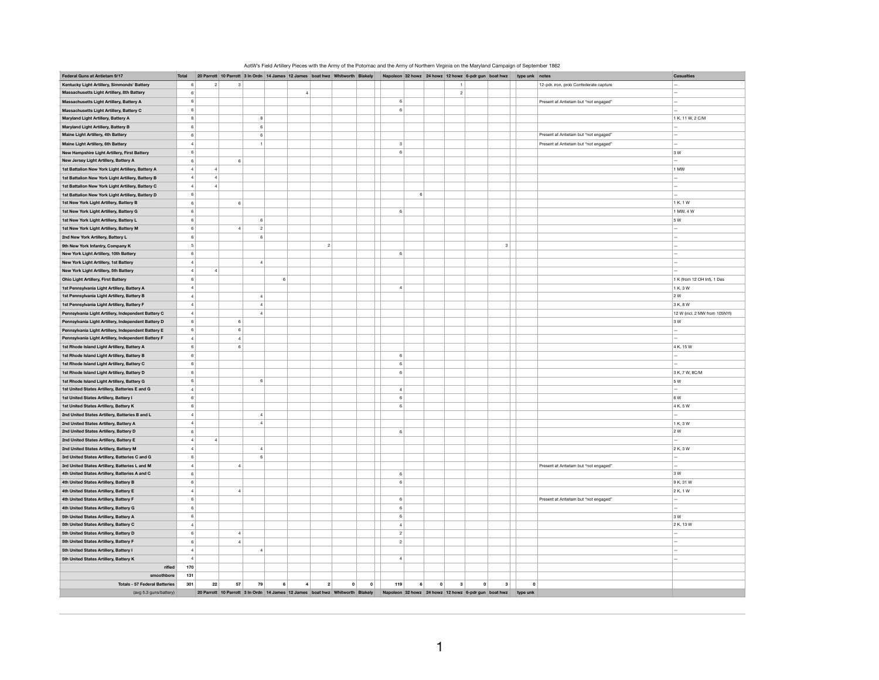| Federal Guns at Antietam 9/17                                                    | Total          |                     |    |                                  |                     | 20 Parrott 10 Parrott 3 In Ordn 14 James 12 James boat hwz Whitworth Blakely Napoleon 32 howz 24 howz 12 howz 6-pdr gun boat hwz type unk notes |                         |                |   |                                                     |                |                         |          |                                        | Casualties                    |
|----------------------------------------------------------------------------------|----------------|---------------------|----|----------------------------------|---------------------|-------------------------------------------------------------------------------------------------------------------------------------------------|-------------------------|----------------|---|-----------------------------------------------------|----------------|-------------------------|----------|----------------------------------------|-------------------------------|
| Kentucky Light Artillery, Simmonds' Battery                                      |                | 6<br>$\overline{2}$ |    |                                  |                     |                                                                                                                                                 |                         |                |   |                                                     |                |                         |          | 12-pdr. iron, prob Confederate capture |                               |
| Massachusetts Light Artillery, 8th Battery                                       | $\,6\,$        |                     |    |                                  | $\overline{4}$      |                                                                                                                                                 |                         |                |   |                                                     | $\overline{2}$ |                         |          |                                        | $\overline{a}$                |
| Massachusetts Light Artillery, Battery A                                         | $\mathbf{6}$   |                     |    |                                  |                     |                                                                                                                                                 |                         | 6              |   |                                                     |                |                         |          | Present at Antietam but "not engaged"  |                               |
| Massachusetts Light Artillery, Battery C                                         | $\,6\,$        |                     |    |                                  |                     |                                                                                                                                                 |                         | 6              |   |                                                     |                |                         |          |                                        |                               |
| Maryland Light Artillery, Battery A                                              | $\bf8$         |                     |    | $\mathbf{R}$                     |                     |                                                                                                                                                 |                         |                |   |                                                     |                |                         |          |                                        | 1 K, 11 W, 2 C/M              |
| Maryland Light Artillery, Battery B                                              | $\,$ 6         |                     |    | $6\phantom{1}6$                  |                     |                                                                                                                                                 |                         |                |   |                                                     |                |                         |          |                                        | L                             |
| Maine Light Artillery, 4th Battery                                               | $\,6\,$        |                     |    | $6\phantom{1}6$                  |                     |                                                                                                                                                 |                         |                |   |                                                     |                |                         |          | Present at Antietam but "not engaged"  | $\overline{a}$                |
| Maine Light Artillery, 6th Battery                                               | $\overline{4}$ |                     |    | $\overline{1}$                   |                     |                                                                                                                                                 |                         | $\overline{3}$ |   |                                                     |                |                         |          | Present at Antietam but "not engaged"  | $\overline{a}$                |
| New Hampshire Light Artillery, First Battery                                     | $\,6\,$        |                     |    |                                  |                     |                                                                                                                                                 |                         | 6              |   |                                                     |                |                         |          |                                        | 3W                            |
| New Jersey Light Artillery, Battery A                                            | $\,$ 6         |                     |    | 6                                |                     |                                                                                                                                                 |                         |                |   |                                                     |                |                         |          |                                        | $\overline{a}$                |
|                                                                                  | $\overline{4}$ | $\overline{a}$      |    |                                  |                     |                                                                                                                                                 |                         |                |   |                                                     |                |                         |          |                                        |                               |
| 1st Battalion New York Light Artillery, Battery A                                |                |                     |    |                                  |                     |                                                                                                                                                 |                         |                |   |                                                     |                |                         |          |                                        | 1 MW                          |
| 1st Battalion New York Light Artillery, Battery B                                | $\overline{a}$ | $\overline{4}$      |    |                                  |                     |                                                                                                                                                 |                         |                |   |                                                     |                |                         |          |                                        | $\overline{a}$                |
| 1st Battalion New York Light Artillery, Battery C                                | $\overline{4}$ | $\overline{A}$      |    |                                  |                     |                                                                                                                                                 |                         |                |   |                                                     |                |                         |          |                                        | $\overline{a}$                |
| 1st Battalion New York Light Artillery, Battery D                                | $\,$ 6         |                     |    |                                  |                     |                                                                                                                                                 |                         |                | 6 |                                                     |                |                         |          |                                        |                               |
| 1st New York Light Artillery, Battery B                                          | $\,6\,$        |                     |    | 6                                |                     |                                                                                                                                                 |                         |                |   |                                                     |                |                         |          |                                        | 1 K, 1 W                      |
| 1st New York Light Artillery, Battery G                                          | $\,$ 6         |                     |    |                                  |                     |                                                                                                                                                 |                         | 6              |   |                                                     |                |                         |          |                                        | 1 MW, 4 W                     |
| 1st New York Light Artillery, Battery L                                          | $\,6\,$        |                     |    | $6\overline{6}$                  |                     |                                                                                                                                                 |                         |                |   |                                                     |                |                         |          |                                        | 5 W                           |
| 1st New York Light Artillery, Battery M                                          | $\mathbf{6}$   |                     |    | $\overline{4}$<br>$\overline{2}$ |                     |                                                                                                                                                 |                         |                |   |                                                     |                |                         |          |                                        |                               |
| 2nd New York Artillery, Battery L                                                | $\,6\,$        |                     |    | $6\phantom{1}6$                  |                     |                                                                                                                                                 |                         |                |   |                                                     |                |                         |          |                                        |                               |
| 9th New York Infantry, Company K                                                 |                | 5 <sup>5</sup>      |    |                                  |                     | 2 <sup>1</sup>                                                                                                                                  |                         |                |   |                                                     |                | $\overline{\mathbf{3}}$ |          |                                        | $\overline{a}$                |
| New York Light Artillery, 10th Battery                                           | $\,$ 6         |                     |    |                                  |                     |                                                                                                                                                 |                         | 6              |   |                                                     |                |                         |          |                                        | $\overline{a}$                |
| New York Light Artillery, 1st Battery                                            | $\overline{4}$ |                     |    | $\overline{A}$                   |                     |                                                                                                                                                 |                         |                |   |                                                     |                |                         |          |                                        | $\overline{a}$                |
| New York Light Artillery, 5th Battery                                            | $\overline{4}$ | $\overline{4}$      |    |                                  |                     |                                                                                                                                                 |                         |                |   |                                                     |                |                         |          |                                        |                               |
| <b>Ohio Light Artillery, First Battery</b>                                       | $\,6\,$        |                     |    |                                  | $6\phantom{a}$      |                                                                                                                                                 |                         |                |   |                                                     |                |                         |          |                                        | 1 K (from 12 OH Inf), 1 Des   |
|                                                                                  | $\overline{4}$ |                     |    |                                  |                     |                                                                                                                                                 |                         | $\overline{4}$ |   |                                                     |                |                         |          |                                        |                               |
| 1st Pennsylvania Light Artillery, Battery A                                      | $\overline{4}$ |                     |    | $\overline{A}$                   |                     |                                                                                                                                                 |                         |                |   |                                                     |                |                         |          |                                        | 1 K, 3 W<br>2 W               |
| 1st Pennsylvania Light Artillery, Battery B                                      |                |                     |    |                                  |                     |                                                                                                                                                 |                         |                |   |                                                     |                |                         |          |                                        |                               |
| 1st Pennsylvania Light Artillery, Battery F                                      | $\overline{a}$ |                     |    | $\overline{4}$                   |                     |                                                                                                                                                 |                         |                |   |                                                     |                |                         |          |                                        | 3 K, 8 W                      |
| Pennsylvania Light Artillery, Independent Battery C                              | $\overline{4}$ |                     |    | $\overline{A}$                   |                     |                                                                                                                                                 |                         |                |   |                                                     |                |                         |          |                                        | 12 W (incl. 2 MW from 105NYI) |
| Pennsylvania Light Artillery, Independent Battery D                              | $\,6\,$        |                     |    | $\epsilon$                       |                     |                                                                                                                                                 |                         |                |   |                                                     |                |                         |          |                                        | 3W                            |
| Pennsylvania Light Artillery, Independent Battery E                              | $\,6\,$        |                     |    | 6                                |                     |                                                                                                                                                 |                         |                |   |                                                     |                |                         |          |                                        | $\overline{a}$                |
| Pennsylvania Light Artillery, Independent Battery F                              | $\sqrt{4}$     |                     |    | $\overline{4}$                   |                     |                                                                                                                                                 |                         |                |   |                                                     |                |                         |          |                                        |                               |
| 1st Rhode Island Light Artillery, Battery A                                      | $\,$ 6         |                     |    | 6                                |                     |                                                                                                                                                 |                         |                |   |                                                     |                |                         |          |                                        | 4 K. 15 W                     |
| 1st Rhode Island Light Artillery, Battery B                                      | $\,6\,$        |                     |    |                                  |                     |                                                                                                                                                 |                         | $\epsilon$     |   |                                                     |                |                         |          |                                        | $\overline{a}$                |
| 1st Rhode Island Light Artillery, Battery C                                      | $\,6\,$        |                     |    |                                  |                     |                                                                                                                                                 |                         | 6              |   |                                                     |                |                         |          |                                        |                               |
| 1st Rhode Island Light Artillery, Battery D                                      | $\,6\,$        |                     |    |                                  |                     |                                                                                                                                                 |                         | 6              |   |                                                     |                |                         |          |                                        | 3 K, 7 W, 8C/M                |
| 1st Rhode Island Light Artillery, Battery G                                      | $\,$ 6         |                     |    | 6                                |                     |                                                                                                                                                 |                         |                |   |                                                     |                |                         |          |                                        | 5 W                           |
| 1st United States Artillery, Batteries E and G                                   | $\overline{a}$ |                     |    |                                  |                     |                                                                                                                                                 |                         | $\overline{a}$ |   |                                                     |                |                         |          |                                        | $\overline{a}$                |
| 1st United States Artillery, Battery I                                           | $\,$ 6         |                     |    |                                  |                     |                                                                                                                                                 |                         | $\epsilon$     |   |                                                     |                |                         |          |                                        | <b>A</b> W                    |
| 1st United States Artillery, Battery K                                           | $\,6\,$        |                     |    |                                  |                     |                                                                                                                                                 |                         | 6              |   |                                                     |                |                         |          |                                        | 4 K, 5 W                      |
| 2nd United States Artillery, Batteries B and L                                   | $\overline{4}$ |                     |    | $\overline{4}$                   |                     |                                                                                                                                                 |                         |                |   |                                                     |                |                         |          |                                        | $\overline{\phantom{a}}$      |
|                                                                                  |                | $\overline{4}$      |    | $\overline{4}$                   |                     |                                                                                                                                                 |                         |                |   |                                                     |                |                         |          |                                        | 1 K, 3 W                      |
| 2nd United States Artillery, Battery A<br>2nd United States Artillery, Battery D |                |                     |    |                                  |                     |                                                                                                                                                 |                         |                |   |                                                     |                |                         |          |                                        | 2w                            |
|                                                                                  | $\,$ 6         |                     |    |                                  |                     |                                                                                                                                                 |                         | 6              |   |                                                     |                |                         |          |                                        |                               |
| 2nd United States Artillery, Battery E                                           | $\overline{a}$ | $\overline{4}$      |    |                                  |                     |                                                                                                                                                 |                         |                |   |                                                     |                |                         |          |                                        | $\overline{a}$                |
| 2nd United States Artillery, Battery M                                           | $\overline{a}$ |                     |    | $\overline{a}$                   |                     |                                                                                                                                                 |                         |                |   |                                                     |                |                         |          |                                        | 2 K.3 W                       |
| 3rd United States Artillery, Batteries C and G                                   | $\,6\,$        |                     |    | $\boldsymbol{\kappa}$            |                     |                                                                                                                                                 |                         |                |   |                                                     |                |                         |          |                                        | $\overline{a}$                |
| 3rd United States Artillery, Batteries L and M                                   | $\sqrt{4}$     |                     |    | $\overline{a}$                   |                     |                                                                                                                                                 |                         |                |   |                                                     |                |                         |          | Present at Antietam but "not engaged"  | $\overline{a}$                |
| 4th United States Artillery, Batteries A and C                                   | $\,$ 6         |                     |    |                                  |                     |                                                                                                                                                 |                         | 6              |   |                                                     |                |                         |          |                                        | 3W                            |
| 4th United States Artillery, Battery B                                           | $6\phantom{1}$ |                     |    |                                  |                     |                                                                                                                                                 |                         | $\kappa$       |   |                                                     |                |                         |          |                                        | 9 K, 31 W                     |
| 4th United States Artillery, Battery E                                           | $\overline{4}$ |                     |    | $\overline{4}$                   |                     |                                                                                                                                                 |                         |                |   |                                                     |                |                         |          |                                        | 2 K, 1 W                      |
| 4th United States Artillery, Battery F                                           | $\,6\,$        |                     |    |                                  |                     |                                                                                                                                                 |                         | $\epsilon$     |   |                                                     |                |                         |          | Present at Antietam but "not engaged"  | $\overline{\phantom{0}}$      |
| 4th United States Artillery, Battery G                                           | $\,6\,$        |                     |    |                                  |                     |                                                                                                                                                 |                         | 6              |   |                                                     |                |                         |          |                                        | ÷                             |
| 5th United States Artillery, Battery A                                           | 6              |                     |    |                                  |                     |                                                                                                                                                 |                         | 6              |   |                                                     |                |                         |          |                                        | 3W                            |
| 5th United States Artillery, Battery C                                           | $\overline{a}$ |                     |    |                                  |                     |                                                                                                                                                 |                         | $\overline{A}$ |   |                                                     |                |                         |          |                                        | 2 K. 13 W                     |
| 5th United States Artillery, Battery D                                           | $\mathbf{6}$   |                     |    | $\overline{4}$                   |                     |                                                                                                                                                 |                         | $\overline{2}$ |   |                                                     |                |                         |          |                                        | $\overline{\phantom{0}}$      |
| 5th United States Artillery, Battery F                                           | $\,$ 6         |                     |    | $\overline{4}$                   |                     |                                                                                                                                                 |                         | $\overline{2}$ |   |                                                     |                |                         |          |                                        | $\overline{a}$                |
|                                                                                  |                |                     |    |                                  |                     |                                                                                                                                                 |                         |                |   |                                                     |                |                         |          |                                        |                               |
| 5th United States Artillery, Battery I                                           | $\sqrt{4}$     |                     |    | $\overline{4}$                   |                     |                                                                                                                                                 |                         |                |   |                                                     |                |                         |          |                                        | $\overline{a}$                |
| 5th United States Artillery, Battery K                                           | $\overline{4}$ |                     |    |                                  |                     |                                                                                                                                                 |                         | $\overline{4}$ |   |                                                     |                |                         |          |                                        |                               |
| rifled                                                                           | 170            |                     |    |                                  |                     |                                                                                                                                                 |                         |                |   |                                                     |                |                         |          |                                        |                               |
| smoothbore                                                                       | 131            |                     |    |                                  |                     |                                                                                                                                                 |                         |                |   |                                                     |                |                         |          |                                        |                               |
| <b>Totals - 57 Federal Batteries</b>                                             | 301            | 22                  | 57 | 79                               | 6<br>$\overline{4}$ | $\overline{2}$<br>$\circ$                                                                                                                       | $\overline{\mathbf{0}}$ | 119            | 6 | $\overline{\mathbf{0}}$<br>$\vert$ 3                | $\circ$        | $3^{\circ}$             | $\Omega$ |                                        |                               |
| (avg 5.3 guns/battery)                                                           |                |                     |    |                                  |                     | 20 Parrott 10 Parrott 3 In Ordn 14 James 12 James boat hwz Whitworth Blakely                                                                    |                         |                |   | Napoleon 32 howz 24 howz 12 howz 6-pdr gun boat hwz |                |                         | type unk |                                        |                               |

## AotW's Field Artillery Pieces with the Army of the Potomac and the Army of Northern Virginia on the Maryland Campaign of September 1862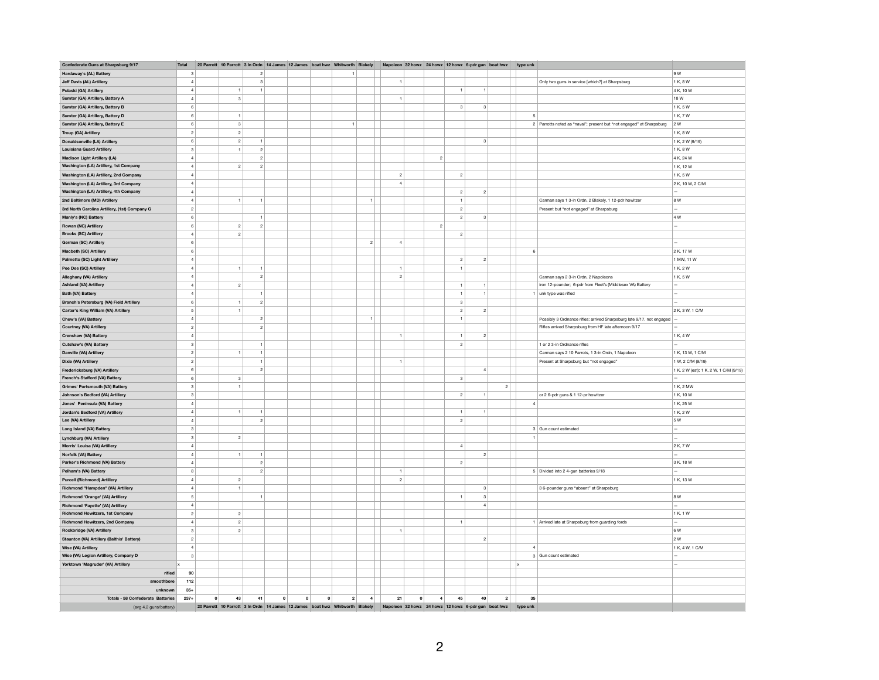| Confederate Guns at Sharpsburg 9/17                                   | <b>Total</b>            |              |                         |                  |         | 20 Parrott 10 Parrott 3 In Ordn 14 James 12 James boat hwz Whitworth         |         |              | <b>Blakely</b> |                |         |                |                           | Napoleon 32 howz 24 howz 12 howz 6-pdr gun boat hwz |                | type unl               |                                                                       |                                        |
|-----------------------------------------------------------------------|-------------------------|--------------|-------------------------|------------------|---------|------------------------------------------------------------------------------|---------|--------------|----------------|----------------|---------|----------------|---------------------------|-----------------------------------------------------|----------------|------------------------|-----------------------------------------------------------------------|----------------------------------------|
| Hardaway's (AL) Battery                                               | 3                       |              |                         | $\overline{2}$   |         |                                                                              |         | 1            |                |                |         |                |                           |                                                     |                |                        |                                                                       | 9 W                                    |
| Jeff Davis (AL) Artillery                                             | $\overline{a}$          |              |                         | $^{\rm 3}$       |         |                                                                              |         |              |                | $\overline{1}$ |         |                |                           |                                                     |                |                        | Only two guns in service [which?] at Sharpsburg                       | 1 K, 8 W                               |
|                                                                       | $\overline{a}$          |              | $\mathbf{1}$            | $\overline{1}$   |         |                                                                              |         |              |                |                |         |                | $\overline{1}$            | $\overline{1}$                                      |                |                        |                                                                       | 4 K. 10 W                              |
| Pulaski (GA) Artillery                                                |                         |              |                         |                  |         |                                                                              |         |              |                |                |         |                |                           |                                                     |                |                        |                                                                       |                                        |
| Sumter (GA) Artillery, Battery A                                      | $\overline{4}$          |              | $\overline{\mathbf{3}}$ |                  |         |                                                                              |         |              |                | $\overline{1}$ |         |                |                           |                                                     |                |                        |                                                                       | 18 W                                   |
| Sumter (GA) Artillery, Battery B                                      | 6                       |              |                         |                  |         |                                                                              |         |              |                |                |         |                | $\overline{3}$            | $\overline{\mathbf{3}}$                             |                |                        |                                                                       | 1 K.5 W                                |
| Sumter (GA) Artillery, Battery D                                      | 6 <sup>1</sup>          |              | $\overline{1}$          |                  |         |                                                                              |         |              |                |                |         |                |                           |                                                     |                | 5                      |                                                                       | 1 K, 7 W                               |
| Sumter (GA) Artillery, Battery E                                      | 6                       |              | $_{\rm 3}$              |                  |         |                                                                              |         | $\mathbf{1}$ |                |                |         |                |                           |                                                     |                |                        | 2 Parrotts noted as "naval"; present but "not engaged" at Sharpsburg  | 2 W                                    |
| Troup (GA) Artillery                                                  | $\overline{2}$          |              | $\sqrt{2}$              |                  |         |                                                                              |         |              |                |                |         |                |                           |                                                     |                |                        |                                                                       | 1 K, 8 W                               |
| Donaldsonville (LA) Artillery                                         | 6                       |              | $\overline{c}$          | $\overline{1}$   |         |                                                                              |         |              |                |                |         |                |                           | 3                                                   |                |                        |                                                                       | 1 K, 2 W (9/19)                        |
| <b>Louisiana Guard Artillery</b>                                      | 3                       |              | $\overline{1}$          | $\bar{2}$        |         |                                                                              |         |              |                |                |         |                |                           |                                                     |                |                        |                                                                       | 1 K, 8 W                               |
|                                                                       |                         |              |                         |                  |         |                                                                              |         |              |                |                |         |                |                           |                                                     |                |                        |                                                                       |                                        |
| <b>Madison Light Artillery (LA)</b>                                   | $\overline{a}$          |              |                         | $\overline{c}$   |         |                                                                              |         |              |                |                |         | $\overline{c}$ |                           |                                                     |                |                        |                                                                       | 4 K, 24 W                              |
| Washington (LA) Artillery, 1st Company                                | $\overline{4}$          |              | $\sqrt{2}$              | $\overline{2}$   |         |                                                                              |         |              |                |                |         |                |                           |                                                     |                |                        |                                                                       | 1 K, 12 W                              |
| Washington (LA) Artillery, 2nd Company                                | $\overline{a}$          |              |                         |                  |         |                                                                              |         |              |                | $\overline{c}$ |         |                | $\overline{2}$            |                                                     |                |                        |                                                                       | 1 K, 5 W                               |
| Washington (LA) Artillery, 3rd Company                                | $\overline{a}$          |              |                         |                  |         |                                                                              |         |              |                | $\overline{4}$ |         |                |                           |                                                     |                |                        |                                                                       | 2 K, 10 W, 2 C/M                       |
| Washington (LA) Artillery, 4th Company                                | $\overline{4}$          |              |                         |                  |         |                                                                              |         |              |                |                |         |                | $\overline{2}$            | $\overline{2}$                                      |                |                        |                                                                       | $\overline{\phantom{a}}$               |
| 2nd Baltimore (MD) Artillery                                          | $\overline{4}$          |              | $\mathbf{1}$            | $\overline{1}$   |         |                                                                              |         |              | $\vert$ 1      |                |         |                | $\mathbf{1}$              |                                                     |                |                        | Carman says 1 3-in Ordn, 2 Blakely, 1 12-pdr howitzer                 | 8W                                     |
|                                                                       | $\overline{2}$          |              |                         |                  |         |                                                                              |         |              |                |                |         |                | $\overline{2}$            |                                                     |                |                        | Present but "not engaged" at Sharpsburg                               |                                        |
| 3rd North Carolina Artillery, (1st) Company G<br>Manly's (NC) Battery | 6                       |              |                         | $\mathbf{1}$     |         |                                                                              |         |              |                |                |         |                | $\overline{2}$            | $\overline{\mathbf{3}}$                             |                |                        |                                                                       | 4 W                                    |
|                                                                       |                         |              |                         | $\overline{2}$   |         |                                                                              |         |              |                |                |         |                |                           |                                                     |                |                        |                                                                       |                                        |
| Rowan (NC) Artillery                                                  | 6                       |              | $\overline{2}$          |                  |         |                                                                              |         |              |                |                |         | $\overline{2}$ |                           |                                                     |                |                        |                                                                       |                                        |
| <b>Brooks (SC) Artillery</b>                                          | $\overline{a}$          |              | $\sqrt{2}$              |                  |         |                                                                              |         |              |                |                |         |                | $\sqrt{2}$                |                                                     |                |                        |                                                                       |                                        |
| German (SC) Artillery                                                 | 6                       |              |                         |                  |         |                                                                              |         |              | $\overline{2}$ | $\overline{4}$ |         |                |                           |                                                     |                |                        |                                                                       |                                        |
| Macbeth (SC) Artillery                                                | 6                       |              |                         |                  |         |                                                                              |         |              |                |                |         |                |                           |                                                     |                | 6                      |                                                                       | 2 K. 17 W                              |
| Palmetto (SC) Light Artillery                                         | $\overline{4}$          |              |                         |                  |         |                                                                              |         |              |                |                |         |                | $\sqrt{2}$                | $\overline{2}$                                      |                |                        |                                                                       | 1 MW, 11 W                             |
| Pee Dee (SC) Artillery                                                | 4                       |              | $\overline{1}$          | $\mathbf{1}$     |         |                                                                              |         |              |                | $\mathbf{1}$   |         |                | $\overline{1}$            |                                                     |                |                        |                                                                       | 1 K, 2 W                               |
| Alleghany (VA) Artillery                                              | $\overline{4}$          |              |                         | $\overline{c}$   |         |                                                                              |         |              |                | $\overline{c}$ |         |                |                           |                                                     |                |                        | Carman says 2 3-in Ordn, 2 Napoleons                                  | 1 K, 5 W                               |
| Ashland (VA) Artillery                                                | $\overline{4}$          |              | $\sqrt{2}$              |                  |         |                                                                              |         |              |                |                |         |                | $\mathbf{1}$              | $\mathbf{1}$                                        |                |                        | iron 12-pounder; 6-pdr from Fleet's (Middlesex VA) Battery            |                                        |
|                                                                       |                         |              |                         |                  |         |                                                                              |         |              |                |                |         |                |                           |                                                     |                |                        |                                                                       |                                        |
| Bath (VA) Battery                                                     | $\overline{4}$          |              |                         | $\mathbf{1}$     |         |                                                                              |         |              |                |                |         |                | $\overline{1}$            | $\overline{1}$                                      |                |                        | 1 unk type was rifled                                                 |                                        |
| Branch's Petersburg (VA) Field Artillery                              | 6                       |              | $\mathbf{1}$            | $\,$ 2 $\,$      |         |                                                                              |         |              |                |                |         |                | $\ensuremath{\mathsf{3}}$ |                                                     |                |                        |                                                                       |                                        |
| Carter's King William (VA) Artillery                                  | $\mathbf 5$             |              | $\mathbf{1}$            |                  |         |                                                                              |         |              |                |                |         |                | $\overline{2}$            | $\overline{2}$                                      |                |                        |                                                                       | $2K.3W.1$ C/M                          |
| Chew's (VA) Battery                                                   | $\sim$                  |              |                         | $\overline{c}$   |         |                                                                              |         |              | 1              |                |         |                | 1                         |                                                     |                |                        | Possibly 3 Ordnance rifles; arrived Sharpsburg late 9/17, not engaged |                                        |
| Courtney (VA) Artillery                                               | $\overline{2}$          |              |                         | $\overline{2}$   |         |                                                                              |         |              |                |                |         |                |                           |                                                     |                |                        | Rifles arrived Sharpsburg from HF late afternoon 9/17                 |                                        |
| Crenshaw (VA) Battery                                                 | $\overline{a}$          |              |                         |                  |         |                                                                              |         |              |                | $\mathbf{1}$   |         |                | $\overline{1}$            | $\overline{2}$                                      |                |                        |                                                                       | 1 K.4 W                                |
| Cutshaw's (VA) Battery                                                | $\mathbf 3$             |              |                         | $\mathbf{1}$     |         |                                                                              |         |              |                |                |         |                | $\sqrt{2}$                |                                                     |                |                        | 1 or 2 3-in Ordnance rifles                                           |                                        |
| Danville (VA) Artillery                                               | $\overline{2}$          |              | $\overline{1}$          | $\mathbf{1}$     |         |                                                                              |         |              |                |                |         |                |                           |                                                     |                |                        | Carman says 2 10 Parrots, 1 3-in Ordn, 1 Napoleon                     | 1 K, 13 W, 1 C/M                       |
| Dixie (VA) Artillery                                                  | $\overline{2}$          |              |                         | $\mathbf{1}$     |         |                                                                              |         |              |                | $\overline{1}$ |         |                |                           |                                                     |                |                        | Present at Sharpsburg but "not engaged"                               | 1 W. 2 C/M (9/19)                      |
|                                                                       | 6                       |              |                         | $\bar{2}$        |         |                                                                              |         |              |                |                |         |                |                           | $\sqrt{4}$                                          |                |                        |                                                                       |                                        |
| Fredericksburg (VA) Artillery                                         |                         |              |                         |                  |         |                                                                              |         |              |                |                |         |                |                           |                                                     |                |                        |                                                                       | 1 K, 2 W (est); 1 K, 2 W, 1 C/M (9/19) |
| French's Stafford (VA) Battery                                        | 6                       |              | 3                       |                  |         |                                                                              |         |              |                |                |         |                | $\mathbf{3}$              |                                                     |                |                        |                                                                       |                                        |
| Grimes' Portsmouth (VA) Battery                                       | 3                       |              | $\mathbf{1}$            |                  |         |                                                                              |         |              |                |                |         |                |                           |                                                     | $\sqrt{2}$     |                        |                                                                       | 1 K, 2 MW                              |
| Johnson's Bedford (VA) Artillery                                      | $\overline{\mathbf{3}}$ |              |                         |                  |         |                                                                              |         |              |                |                |         |                | $\overline{2}$            | $\mathbf{1}$                                        |                |                        | or 2 6-odr guns & 1 12-or howitzer                                    | 1 K. 10 W                              |
| Jones' Peninsula (VA) Battery                                         | $\overline{4}$          |              |                         |                  |         |                                                                              |         |              |                |                |         |                |                           |                                                     |                | $\overline{4}$         |                                                                       | 1 K, 25 W                              |
| Jordan's Bedford (VA) Artillery                                       | $\overline{4}$          |              | $\mathbf{1}$            | $\overline{1}$   |         |                                                                              |         |              |                |                |         |                | $\overline{1}$            | $\mathbf{1}$                                        |                |                        |                                                                       | 1 K, 2 W                               |
| Lee (VA) Artillery                                                    | $\overline{a}$          |              |                         | $\overline{2}$   |         |                                                                              |         |              |                |                |         |                | $\overline{2}$            |                                                     |                |                        |                                                                       | 5 W                                    |
| Long Island (VA) Battery                                              | $\mathbf{3}$            |              |                         |                  |         |                                                                              |         |              |                |                |         |                |                           |                                                     |                |                        | 3 Gun count estimated                                                 |                                        |
|                                                                       |                         |              |                         |                  |         |                                                                              |         |              |                |                |         |                |                           |                                                     |                | $\mathbf{1}$           |                                                                       |                                        |
| Lynchburg (VA) Artillery                                              | $\overline{\mathbf{3}}$ |              | $\overline{2}$          |                  |         |                                                                              |         |              |                |                |         |                |                           |                                                     |                |                        |                                                                       |                                        |
| Morris' Louisa (VA) Artillery                                         | $\overline{4}$          |              |                         |                  |         |                                                                              |         |              |                |                |         |                | $\overline{4}$            |                                                     |                |                        |                                                                       | 2 K. 7 W                               |
| Norfolk (VA) Battery                                                  | $\sim$                  |              | $\mathbf{1}$            |                  |         |                                                                              |         |              |                |                |         |                |                           | $\overline{2}$                                      |                |                        |                                                                       |                                        |
| Parker's Richmond (VA) Battery                                        | $\overline{a}$          |              |                         | $\boldsymbol{2}$ |         |                                                                              |         |              |                |                |         |                | $\overline{2}$            |                                                     |                |                        |                                                                       | 3 K. 18 W.                             |
| Pelham's (VA) Battery                                                 | $\lvert$                |              |                         | $\overline{2}$   |         |                                                                              |         |              |                | $\overline{1}$ |         |                |                           |                                                     |                |                        | 5 Divided into 2 4-gun batteries 9/18                                 |                                        |
| <b>Purcell (Richmond) Artillery</b>                                   | $\overline{4}$          |              | $\,$ 2 $\,$             |                  |         |                                                                              |         |              |                | $\overline{2}$ |         |                |                           |                                                     |                |                        |                                                                       | 1 K, 13 W                              |
| Richmond "Hampden" (VA) Artillery                                     | $\overline{4}$          |              | $\overline{1}$          |                  |         |                                                                              |         |              |                |                |         |                |                           | 3                                                   |                |                        | 3 6-pounder guns "absent" at Sharpsburg                               |                                        |
| Richmond 'Orange' (VA) Artillery                                      | 5 <sup>5</sup>          |              |                         | $\mathbf{1}$     |         |                                                                              |         |              |                |                |         |                | $\mathbf{1}$              | $\mathbf{3}$                                        |                |                        |                                                                       | 8 W                                    |
|                                                                       | $\overline{a}$          |              |                         |                  |         |                                                                              |         |              |                |                |         |                |                           | $\overline{4}$                                      |                |                        |                                                                       |                                        |
| Richmond 'Fayette' (VA) Artillery                                     |                         |              |                         |                  |         |                                                                              |         |              |                |                |         |                |                           |                                                     |                |                        |                                                                       |                                        |
| <b>Richmond Howitzers, 1st Company</b>                                | $\overline{2}$          |              | $\overline{2}$          |                  |         |                                                                              |         |              |                |                |         |                |                           |                                                     |                |                        |                                                                       | 1 K, 1 W                               |
| <b>Richmond Howitzers, 2nd Company</b>                                | $\sim$                  |              | $\overline{2}$          |                  |         |                                                                              |         |              |                |                |         |                | $\overline{1}$            |                                                     |                |                        | 1 Arrived late at Sharpsburg from guarding fords                      |                                        |
| Rockbridge (VA) Artillery                                             | $\overline{\mathbf{3}}$ |              | $\overline{c}$          |                  |         |                                                                              |         |              |                | $\overline{1}$ |         |                |                           |                                                     |                |                        |                                                                       | 6 W                                    |
| Staunton (VA) Artillery (Balthis' Battery)                            | $\overline{2}$          |              |                         |                  |         |                                                                              |         |              |                |                |         |                |                           | $\overline{2}$                                      |                |                        |                                                                       | 2 W                                    |
| Wise (VA) Artillery                                                   | 4 <sup>1</sup>          |              |                         |                  |         |                                                                              |         |              |                |                |         |                |                           |                                                     |                | $\boldsymbol{\Lambda}$ |                                                                       | 1 K, 4 W, 1 C/M                        |
| Wise (VA) Legion Artillery, Company D                                 | $\mathbf{3}$            |              |                         |                  |         |                                                                              |         |              |                |                |         |                |                           |                                                     |                |                        | 3 Gun count estimated                                                 |                                        |
| Yorktown 'Magruder' (VA) Artillery                                    |                         |              |                         |                  |         |                                                                              |         |              |                |                |         |                |                           |                                                     |                | l x                    |                                                                       |                                        |
| rifled                                                                | 90                      |              |                         |                  |         |                                                                              |         |              |                |                |         |                |                           |                                                     |                |                        |                                                                       |                                        |
| smoothbore                                                            | 112                     |              |                         |                  |         |                                                                              |         |              |                |                |         |                |                           |                                                     |                |                        |                                                                       |                                        |
|                                                                       |                         |              |                         |                  |         |                                                                              |         |              |                |                |         |                |                           |                                                     |                |                        |                                                                       |                                        |
| unknown                                                               | $35+$                   |              |                         |                  |         |                                                                              |         |              |                |                |         |                |                           |                                                     |                |                        |                                                                       |                                        |
| <b>Totals - 58 Confederate Batteries</b>                              | $237+$                  | $\mathbf{0}$ | 43                      | 41               | $\circ$ | $\circ$                                                                      | $\circ$ | 2            | 4              | 21             | $\circ$ | 4              | 45                        | 40                                                  | $\overline{2}$ | 35                     |                                                                       |                                        |
| (avg 4.2 guns/battery)                                                |                         |              |                         |                  |         | 20 Parrott 10 Parrott 3 In Ordn 14 James 12 James boat hwz Whitworth Blakely |         |              |                |                |         |                |                           | Napoleon 32 howz 24 howz 12 howz 6-pdr gun boat hwz |                | type unk               |                                                                       |                                        |